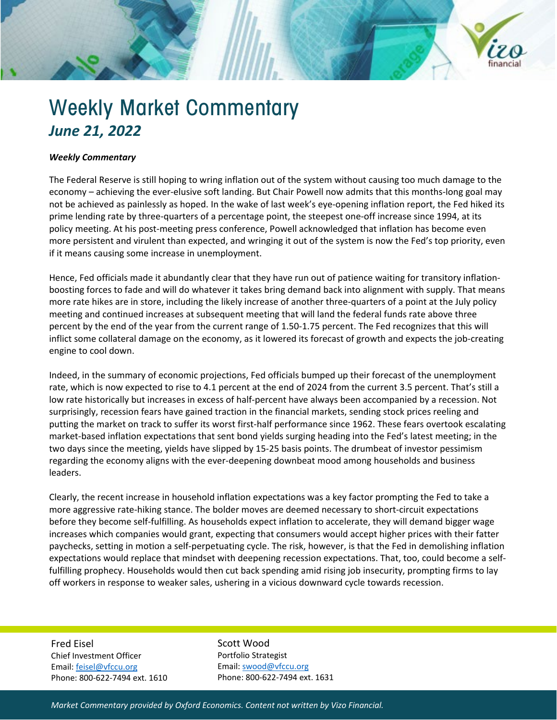

## Weekly Market Commentary *June 21, 2022*

## *Weekly Commentary*

The Federal Reserve is still hoping to wring inflation out of the system without causing too much damage to the economy – achieving the ever-elusive soft landing. But Chair Powell now admits that this months-long goal may not be achieved as painlessly as hoped. In the wake of last week's eye-opening inflation report, the Fed hiked its prime lending rate by three-quarters of a percentage point, the steepest one-off increase since 1994, at its policy meeting. At his post-meeting press conference, Powell acknowledged that inflation has become even more persistent and virulent than expected, and wringing it out of the system is now the Fed's top priority, even if it means causing some increase in unemployment.

Hence, Fed officials made it abundantly clear that they have run out of patience waiting for transitory inflationboosting forces to fade and will do whatever it takes bring demand back into alignment with supply. That means more rate hikes are in store, including the likely increase of another three-quarters of a point at the July policy meeting and continued increases at subsequent meeting that will land the federal funds rate above three percent by the end of the year from the current range of 1.50-1.75 percent. The Fed recognizes that this will inflict some collateral damage on the economy, as it lowered its forecast of growth and expects the job-creating engine to cool down.

Indeed, in the summary of economic projections, Fed officials bumped up their forecast of the unemployment rate, which is now expected to rise to 4.1 percent at the end of 2024 from the current 3.5 percent. That's still a low rate historically but increases in excess of half-percent have always been accompanied by a recession. Not surprisingly, recession fears have gained traction in the financial markets, sending stock prices reeling and putting the market on track to suffer its worst first-half performance since 1962. These fears overtook escalating market-based inflation expectations that sent bond yields surging heading into the Fed's latest meeting; in the two days since the meeting, yields have slipped by 15-25 basis points. The drumbeat of investor pessimism regarding the economy aligns with the ever-deepening downbeat mood among households and business leaders.

Clearly, the recent increase in household inflation expectations was a key factor prompting the Fed to take a more aggressive rate-hiking stance. The bolder moves are deemed necessary to short-circuit expectations before they become self-fulfilling. As households expect inflation to accelerate, they will demand bigger wage increases which companies would grant, expecting that consumers would accept higher prices with their fatter paychecks, setting in motion a self-perpetuating cycle. The risk, however, is that the Fed in demolishing inflation expectations would replace that mindset with deepening recession expectations. That, too, could become a selffulfilling prophecy. Households would then cut back spending amid rising job insecurity, prompting firms to lay off workers in response to weaker sales, ushering in a vicious downward cycle towards recession.

Fred Eisel Chief Investment Officer Email[: feisel@vfccu.org](mailto:feisel@vfccu.org) Phone: 800-622-7494 ext. 1610 Scott Wood Portfolio Strategist Email[: swood@vfccu.org](mailto:swood@vfccu.org) Phone: 800-622-7494 ext. 1631

*Market Commentary provided by Oxford Economics. Content not written by Vizo Financial.*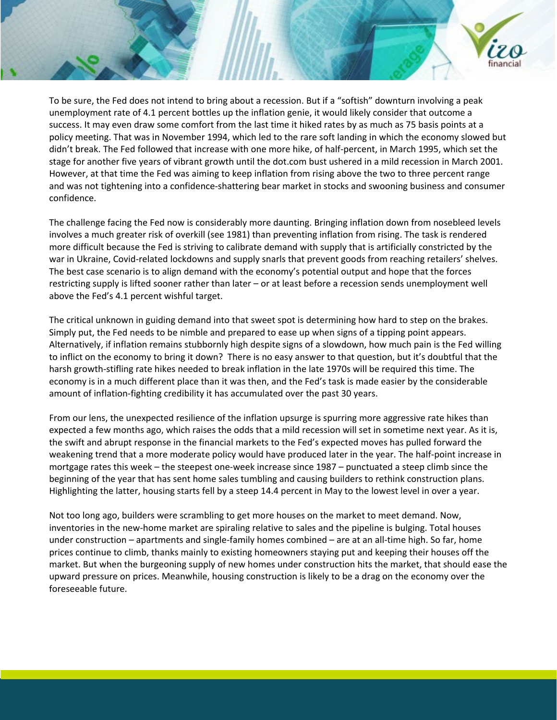

To be sure, the Fed does not intend to bring about a recession. But if a "softish" downturn involving a peak unemployment rate of 4.1 percent bottles up the inflation genie, it would likely consider that outcome a success. It may even draw some comfort from the last time it hiked rates by as much as 75 basis points at a policy meeting. That was in November 1994, which led to the rare soft landing in which the economy slowed but didn't break. The Fed followed that increase with one more hike, of half-percent, in March 1995, which set the stage for another five years of vibrant growth until the dot.com bust ushered in a mild recession in March 2001. However, at that time the Fed was aiming to keep inflation from rising above the two to three percent range and was not tightening into a confidence-shattering bear market in stocks and swooning business and consumer confidence.

The challenge facing the Fed now is considerably more daunting. Bringing inflation down from nosebleed levels involves a much greater risk of overkill (see 1981) than preventing inflation from rising. The task is rendered more difficult because the Fed is striving to calibrate demand with supply that is artificially constricted by the war in Ukraine, Covid-related lockdowns and supply snarls that prevent goods from reaching retailers' shelves. The best case scenario is to align demand with the economy's potential output and hope that the forces restricting supply is lifted sooner rather than later – or at least before a recession sends unemployment well above the Fed's 4.1 percent wishful target.

The critical unknown in guiding demand into that sweet spot is determining how hard to step on the brakes. Simply put, the Fed needs to be nimble and prepared to ease up when signs of a tipping point appears. Alternatively, if inflation remains stubbornly high despite signs of a slowdown, how much pain is the Fed willing to inflict on the economy to bring it down? There is no easy answer to that question, but it's doubtful that the harsh growth-stifling rate hikes needed to break inflation in the late 1970s will be required this time. The economy is in a much different place than it was then, and the Fed's task is made easier by the considerable amount of inflation-fighting credibility it has accumulated over the past 30 years.

From our lens, the unexpected resilience of the inflation upsurge is spurring more aggressive rate hikes than expected a few months ago, which raises the odds that a mild recession will set in sometime next year. As it is, the swift and abrupt response in the financial markets to the Fed's expected moves has pulled forward the weakening trend that a more moderate policy would have produced later in the year. The half-point increase in mortgage rates this week – the steepest one-week increase since 1987 – punctuated a steep climb since the beginning of the year that has sent home sales tumbling and causing builders to rethink construction plans. Highlighting the latter, housing starts fell by a steep 14.4 percent in May to the lowest level in over a year.

Not too long ago, builders were scrambling to get more houses on the market to meet demand. Now, inventories in the new-home market are spiraling relative to sales and the pipeline is bulging. Total houses under construction – apartments and single-family homes combined – are at an all-time high. So far, home prices continue to climb, thanks mainly to existing homeowners staying put and keeping their houses off the market. But when the burgeoning supply of new homes under construction hits the market, that should ease the upward pressure on prices. Meanwhile, housing construction is likely to be a drag on the economy over the foreseeable future.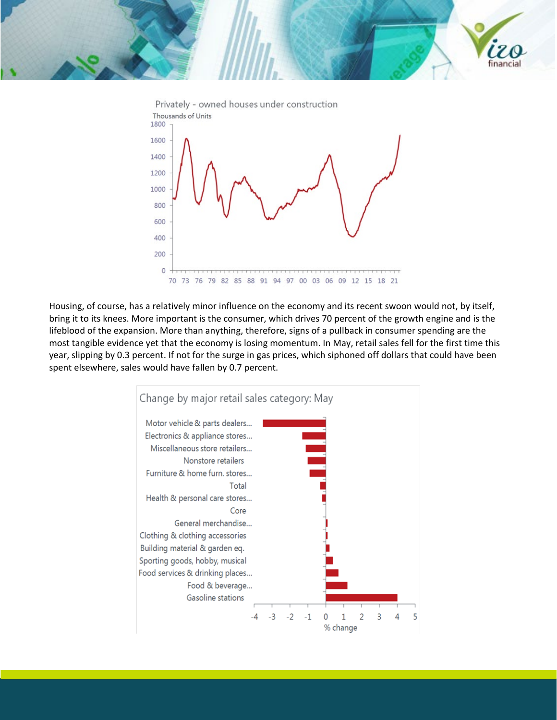



Housing, of course, has a relatively minor influence on the economy and its recent swoon would not, by itself, bring it to its knees. More important is the consumer, which drives 70 percent of the growth engine and is the lifeblood of the expansion. More than anything, therefore, signs of a pullback in consumer spending are the most tangible evidence yet that the economy is losing momentum. In May, retail sales fell for the first time this year, slipping by 0.3 percent. If not for the surge in gas prices, which siphoned off dollars that could have been spent elsewhere, sales would have fallen by 0.7 percent.